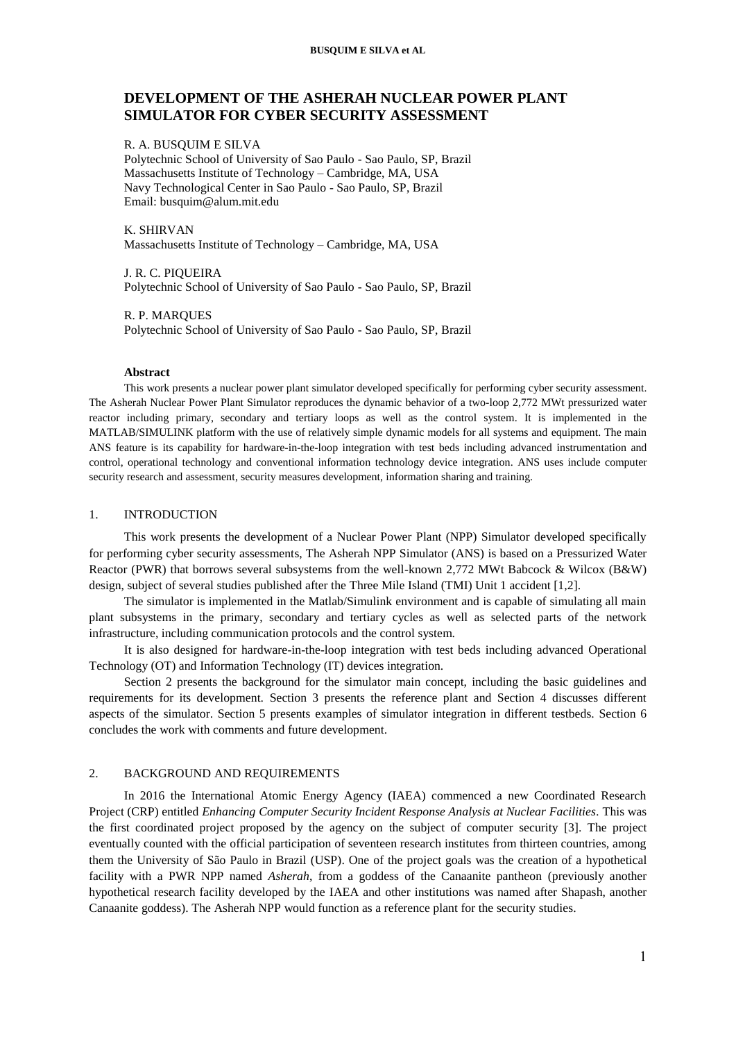# **DEVELOPMENT OF THE ASHERAH NUCLEAR POWER PLANT SIMULATOR FOR CYBER SECURITY ASSESSMENT**

## R. A. BUSQUIM E SILVA

Polytechnic School of University of Sao Paulo - Sao Paulo, SP, Brazil Massachusetts Institute of Technology – Cambridge, MA, USA Navy Technological Center in Sao Paulo - Sao Paulo, SP, Brazil Email: busquim@alum.mit.edu

#### K. SHIRVAN

Massachusetts Institute of Technology – Cambridge, MA, USA

J. R. C. PIQUEIRA Polytechnic School of University of Sao Paulo - Sao Paulo, SP, Brazil

R. P. MARQUES Polytechnic School of University of Sao Paulo - Sao Paulo, SP, Brazil

## **Abstract**

This work presents a nuclear power plant simulator developed specifically for performing cyber security assessment. The Asherah Nuclear Power Plant Simulator reproduces the dynamic behavior of a two-loop 2,772 MWt pressurized water reactor including primary, secondary and tertiary loops as well as the control system. It is implemented in the MATLAB/SIMULINK platform with the use of relatively simple dynamic models for all systems and equipment. The main ANS feature is its capability for hardware-in-the-loop integration with test beds including advanced instrumentation and control, operational technology and conventional information technology device integration. ANS uses include computer security research and assessment, security measures development, information sharing and training.

## 1. INTRODUCTION

This work presents the development of a Nuclear Power Plant (NPP) Simulator developed specifically for performing cyber security assessments, The Asherah NPP Simulator (ANS) is based on a Pressurized Water Reactor (PWR) that borrows several subsystems from the well-known 2,772 MWt Babcock & Wilcox (B&W) design, subject of several studies published after the Three Mile Island (TMI) Unit 1 accident [1,2].

The simulator is implemented in the Matlab/Simulink environment and is capable of simulating all main plant subsystems in the primary, secondary and tertiary cycles as well as selected parts of the network infrastructure, including communication protocols and the control system.

It is also designed for hardware-in-the-loop integration with test beds including advanced Operational Technology (OT) and Information Technology (IT) devices integration.

Section 2 presents the background for the simulator main concept, including the basic guidelines and requirements for its development. Section 3 presents the reference plant and Section 4 discusses different aspects of the simulator. Section 5 presents examples of simulator integration in different testbeds. Section 6 concludes the work with comments and future development.

### 2. BACKGROUND AND REQUIREMENTS

In 2016 the International Atomic Energy Agency (IAEA) commenced a new Coordinated Research Project (CRP) entitled *Enhancing Computer Security Incident Response Analysis at Nuclear Facilities.* This was the first coordinated project proposed by the agency on the subject of computer security [3]. The project eventually counted with the official participation of seventeen research institutes from thirteen countries, among them the University of São Paulo in Brazil (USP). One of the project goals was the creation of a hypothetical facility with a PWR NPP named *Asherah*, from a goddess of the Canaanite pantheon (previously another hypothetical research facility developed by the IAEA and other institutions was named after Shapash, another Canaanite goddess). The Asherah NPP would function as a reference plant for the security studies.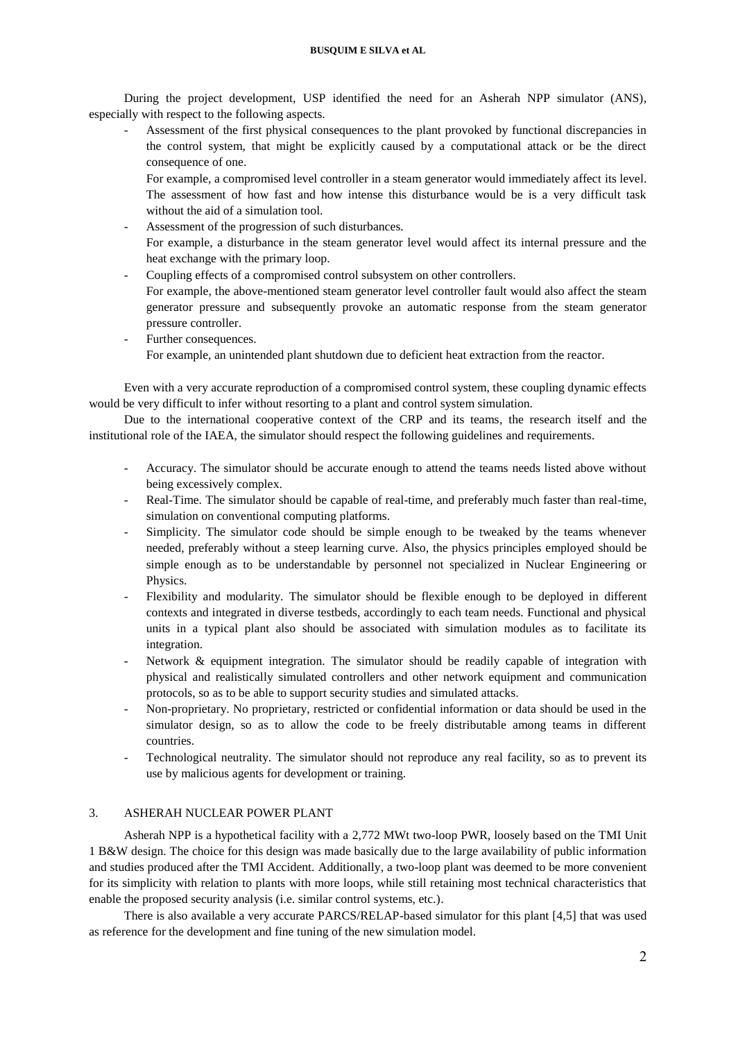During the project development, USP identified the need for an Asherah NPP simulator (ANS), especially with respect to the following aspects.

Assessment of the first physical consequences to the plant provoked by functional discrepancies in the control system, that might be explicitly caused by a computational attack or be the direct consequence of one.

For example, a compromised level controller in a steam generator would immediately affect its level. The assessment of how fast and how intense this disturbance would be is a very difficult task without the aid of a simulation tool.

- Assessment of the progression of such disturbances. For example, a disturbance in the steam generator level would affect its internal pressure and the heat exchange with the primary loop.
- Coupling effects of a compromised control subsystem on other controllers.

For example, the above-mentioned steam generator level controller fault would also affect the steam generator pressure and subsequently provoke an automatic response from the steam generator pressure controller.

Further consequences. For example, an unintended plant shutdown due to deficient heat extraction from the reactor.

Even with a very accurate reproduction of a compromised control system, these coupling dynamic effects would be very difficult to infer without resorting to a plant and control system simulation.

Due to the international cooperative context of the CRP and its teams, the research itself and the institutional role of the IAEA, the simulator should respect the following guidelines and requirements.

- Accuracy. The simulator should be accurate enough to attend the teams needs listed above without being excessively complex.
- Real-Time. The simulator should be capable of real-time, and preferably much faster than real-time, simulation on conventional computing platforms.
- Simplicity. The simulator code should be simple enough to be tweaked by the teams whenever needed, preferably without a steep learning curve. Also, the physics principles employed should be simple enough as to be understandable by personnel not specialized in Nuclear Engineering or Physics.
- Flexibility and modularity. The simulator should be flexible enough to be deployed in different contexts and integrated in diverse testbeds, accordingly to each team needs. Functional and physical units in a typical plant also should be associated with simulation modules as to facilitate its integration.
- Network & equipment integration. The simulator should be readily capable of integration with physical and realistically simulated controllers and other network equipment and communication protocols, so as to be able to support security studies and simulated attacks.
- Non-proprietary. No proprietary, restricted or confidential information or data should be used in the simulator design, so as to allow the code to be freely distributable among teams in different countries.
- Technological neutrality. The simulator should not reproduce any real facility, so as to prevent its use by malicious agents for development or training.

# 3. ASHERAH NUCLEAR POWER PLANT

Asherah NPP is a hypothetical facility with a 2,772 MWt two-loop PWR, loosely based on the TMI Unit 1 B&W design. The choice for this design was made basically due to the large availability of public information and studies produced after the TMI Accident. Additionally, a two-loop plant was deemed to be more convenient for its simplicity with relation to plants with more loops, while still retaining most technical characteristics that enable the proposed security analysis (i.e. similar control systems, etc.).

There is also available a very accurate PARCS/RELAP-based simulator for this plant [4,5] that was used as reference for the development and fine tuning of the new simulation model.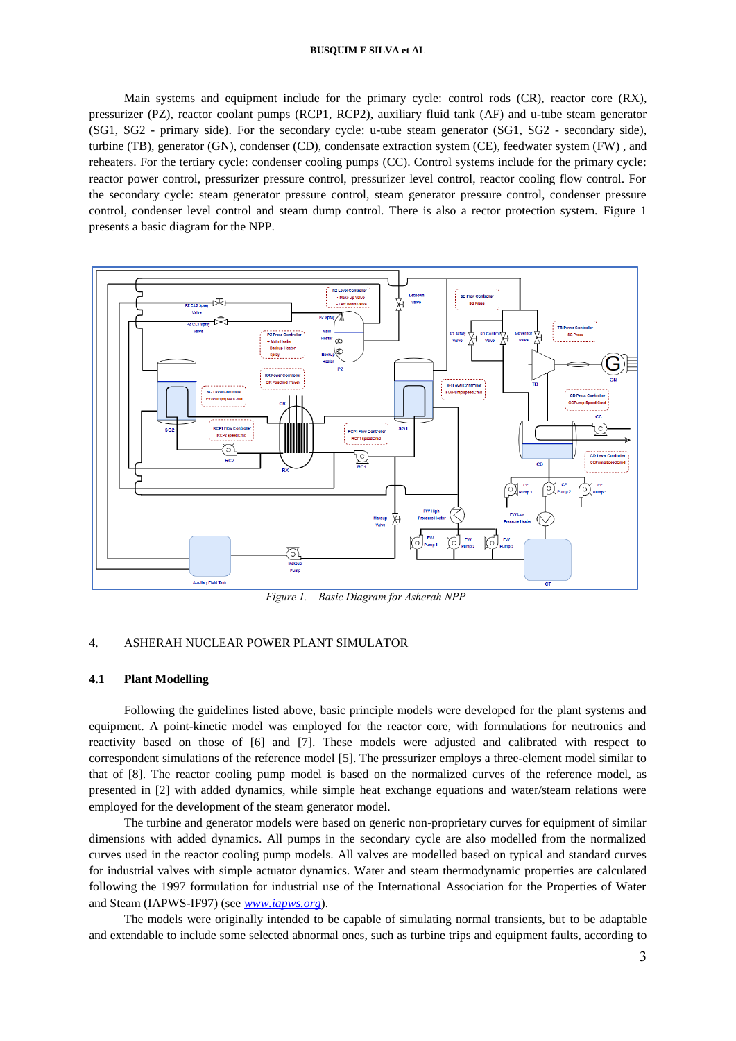Main systems and equipment include for the primary cycle: control rods (CR), reactor core (RX), pressurizer (PZ), reactor coolant pumps (RCP1, RCP2), auxiliary fluid tank (AF) and u-tube steam generator (SG1, SG2 - primary side). For the secondary cycle: u-tube steam generator (SG1, SG2 - secondary side), turbine (TB), generator (GN), condenser (CD), condensate extraction system (CE), feedwater system (FW) , and reheaters. For the tertiary cycle: condenser cooling pumps (CC). Control systems include for the primary cycle: reactor power control, pressurizer pressure control, pressurizer level control, reactor cooling flow control. For the secondary cycle: steam generator pressure control, steam generator pressure control, condenser pressure control, condenser level control and steam dump control. There is also a rector protection system. Figure 1 presents a basic diagram for the NPP.



*Figure 1. Basic Diagram for Asherah NPP*

### 4. ASHERAH NUCLEAR POWER PLANT SIMULATOR

#### **4.1 Plant Modelling**

Following the guidelines listed above, basic principle models were developed for the plant systems and equipment. A point-kinetic model was employed for the reactor core, with formulations for neutronics and reactivity based on those of [6] and [7]. These models were adjusted and calibrated with respect to correspondent simulations of the reference model [5]. The pressurizer employs a three-element model similar to that of [8]. The reactor cooling pump model is based on the normalized curves of the reference model, as presented in [2] with added dynamics, while simple heat exchange equations and water/steam relations were employed for the development of the steam generator model.

The turbine and generator models were based on generic non-proprietary curves for equipment of similar dimensions with added dynamics. All pumps in the secondary cycle are also modelled from the normalized curves used in the reactor cooling pump models. All valves are modelled based on typical and standard curves for industrial valves with simple actuator dynamics. Water and steam thermodynamic properties are calculated following the 1997 formulation for industrial use of the International Association for the Properties of Water and Steam (IAPWS-IF97) (see *[www.iapws.org](http://www.iapws.org/)*).

The models were originally intended to be capable of simulating normal transients, but to be adaptable and extendable to include some selected abnormal ones, such as turbine trips and equipment faults, according to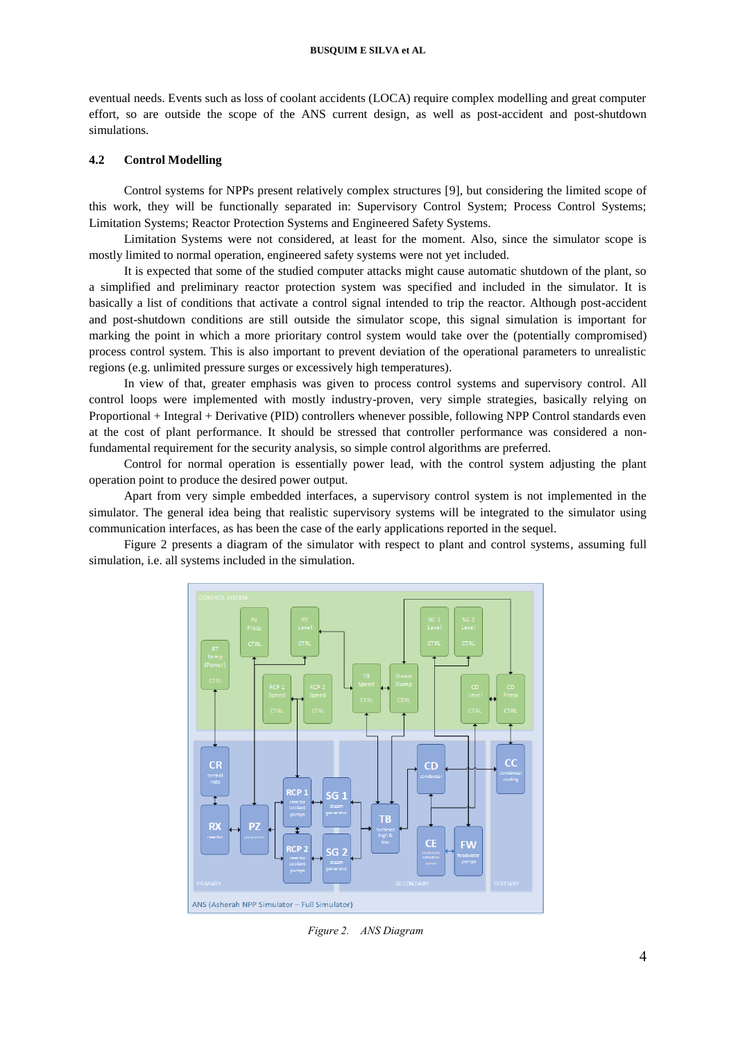eventual needs. Events such as loss of coolant accidents (LOCA) require complex modelling and great computer effort, so are outside the scope of the ANS current design, as well as post-accident and post-shutdown simulations.

## **4.2 Control Modelling**

Control systems for NPPs present relatively complex structures [9], but considering the limited scope of this work, they will be functionally separated in: Supervisory Control System; Process Control Systems; Limitation Systems; Reactor Protection Systems and Engineered Safety Systems.

Limitation Systems were not considered, at least for the moment. Also, since the simulator scope is mostly limited to normal operation, engineered safety systems were not yet included.

It is expected that some of the studied computer attacks might cause automatic shutdown of the plant, so a simplified and preliminary reactor protection system was specified and included in the simulator. It is basically a list of conditions that activate a control signal intended to trip the reactor. Although post-accident and post-shutdown conditions are still outside the simulator scope, this signal simulation is important for marking the point in which a more prioritary control system would take over the (potentially compromised) process control system. This is also important to prevent deviation of the operational parameters to unrealistic regions (e.g. unlimited pressure surges or excessively high temperatures).

In view of that, greater emphasis was given to process control systems and supervisory control. All control loops were implemented with mostly industry-proven, very simple strategies, basically relying on Proportional + Integral + Derivative (PID) controllers whenever possible, following NPP Control standards even at the cost of plant performance. It should be stressed that controller performance was considered a nonfundamental requirement for the security analysis, so simple control algorithms are preferred.

Control for normal operation is essentially power lead, with the control system adjusting the plant operation point to produce the desired power output.

Apart from very simple embedded interfaces, a supervisory control system is not implemented in the simulator. The general idea being that realistic supervisory systems will be integrated to the simulator using communication interfaces, as has been the case of the early applications reported in the sequel.

Figure 2 presents a diagram of the simulator with respect to plant and control systems, assuming full simulation, i.e. all systems included in the simulation.



*Figure 2. ANS Diagram*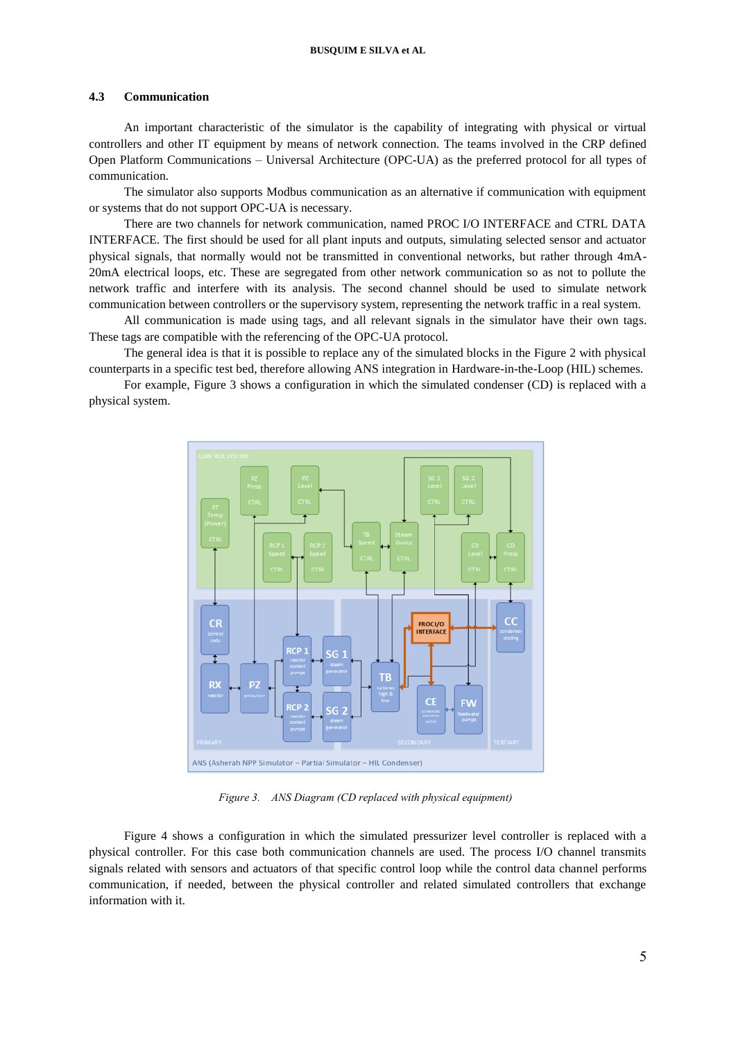#### **4.3 Communication**

An important characteristic of the simulator is the capability of integrating with physical or virtual controllers and other IT equipment by means of network connection. The teams involved in the CRP defined Open Platform Communications – Universal Architecture (OPC-UA) as the preferred protocol for all types of communication.

The simulator also supports Modbus communication as an alternative if communication with equipment or systems that do not support OPC-UA is necessary.

There are two channels for network communication, named PROC I/O INTERFACE and CTRL DATA INTERFACE. The first should be used for all plant inputs and outputs, simulating selected sensor and actuator physical signals, that normally would not be transmitted in conventional networks, but rather through 4mA-20mA electrical loops, etc. These are segregated from other network communication so as not to pollute the network traffic and interfere with its analysis. The second channel should be used to simulate network communication between controllers or the supervisory system, representing the network traffic in a real system.

All communication is made using tags, and all relevant signals in the simulator have their own tags. These tags are compatible with the referencing of the OPC-UA protocol.

The general idea is that it is possible to replace any of the simulated blocks in the Figure 2 with physical counterparts in a specific test bed, therefore allowing ANS integration in Hardware-in-the-Loop (HIL) schemes.

For example, Figure 3 shows a configuration in which the simulated condenser (CD) is replaced with a physical system.



*Figure 3. ANS Diagram (CD replaced with physical equipment)*

Figure 4 shows a configuration in which the simulated pressurizer level controller is replaced with a physical controller. For this case both communication channels are used. The process I/O channel transmits signals related with sensors and actuators of that specific control loop while the control data channel performs communication, if needed, between the physical controller and related simulated controllers that exchange information with it.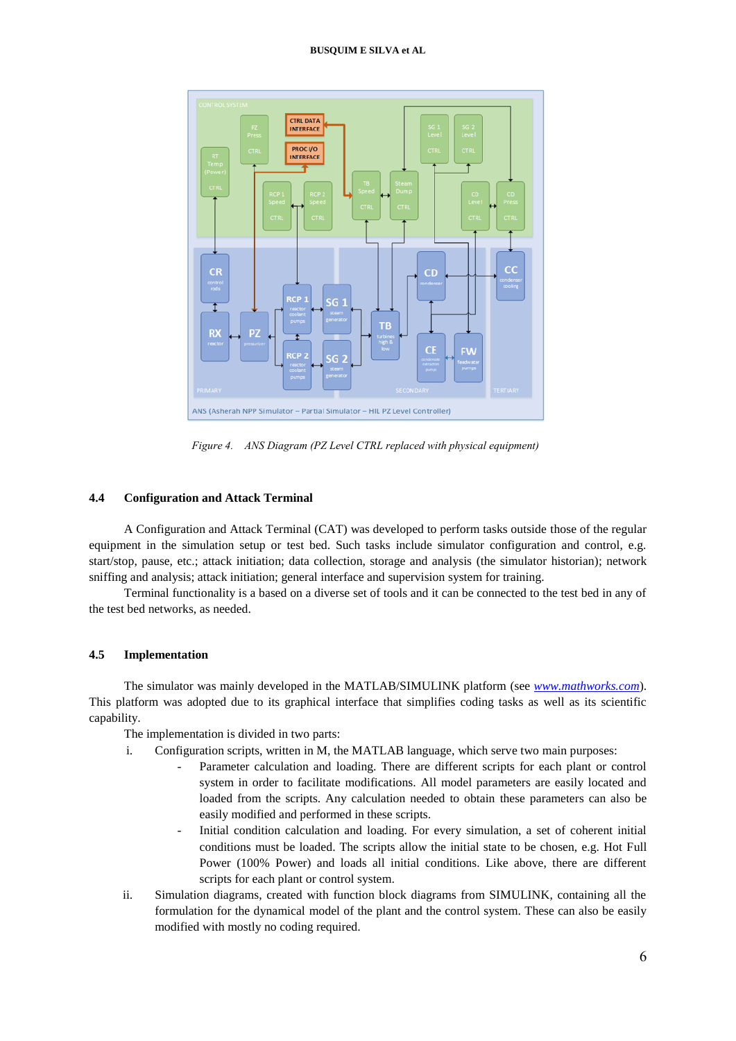

*Figure 4. ANS Diagram (PZ Level CTRL replaced with physical equipment)*

# **4.4 Configuration and Attack Terminal**

A Configuration and Attack Terminal (CAT) was developed to perform tasks outside those of the regular equipment in the simulation setup or test bed. Such tasks include simulator configuration and control, e.g. start/stop, pause, etc.; attack initiation; data collection, storage and analysis (the simulator historian); network sniffing and analysis; attack initiation; general interface and supervision system for training.

Terminal functionality is a based on a diverse set of tools and it can be connected to the test bed in any of the test bed networks, as needed.

# **4.5 Implementation**

The simulator was mainly developed in the MATLAB/SIMULINK platform (see *[www.mathworks.com](http://www.mathworks.com/)*). This platform was adopted due to its graphical interface that simplifies coding tasks as well as its scientific capability.

The implementation is divided in two parts:

- i. Configuration scripts, written in M, the MATLAB language, which serve two main purposes:
	- Parameter calculation and loading. There are different scripts for each plant or control system in order to facilitate modifications. All model parameters are easily located and loaded from the scripts. Any calculation needed to obtain these parameters can also be easily modified and performed in these scripts.
	- Initial condition calculation and loading. For every simulation, a set of coherent initial conditions must be loaded. The scripts allow the initial state to be chosen, e.g. Hot Full Power (100% Power) and loads all initial conditions. Like above, there are different scripts for each plant or control system.
- ii. Simulation diagrams, created with function block diagrams from SIMULINK, containing all the formulation for the dynamical model of the plant and the control system. These can also be easily modified with mostly no coding required.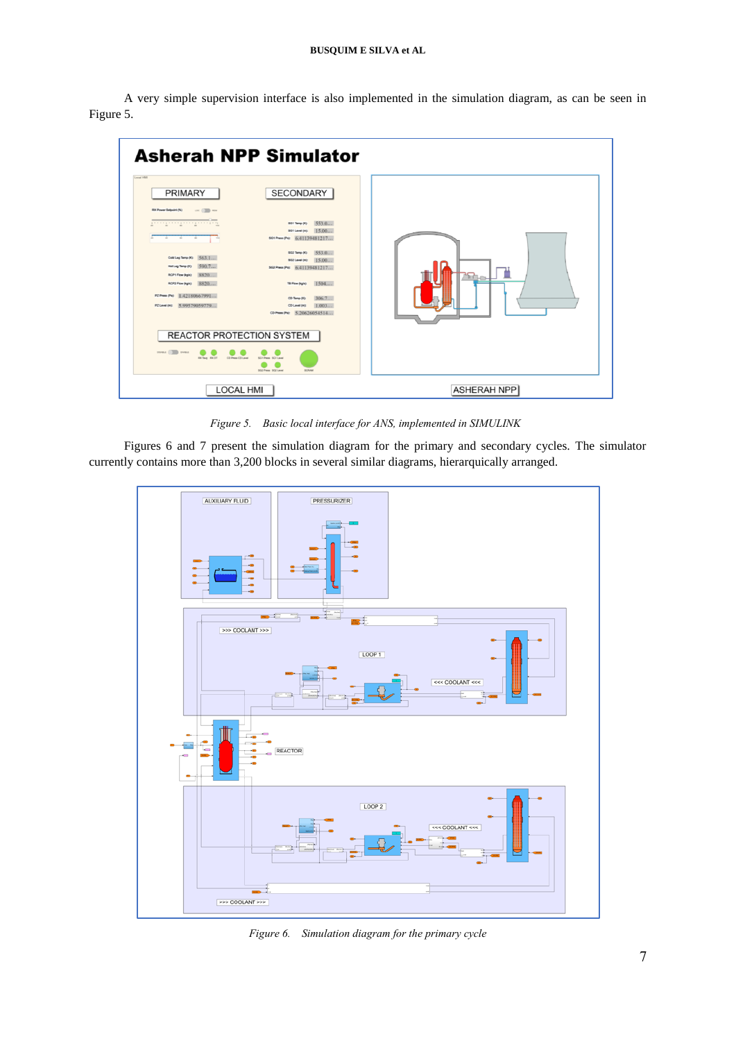A very simple supervision interface is also implemented in the simulation diagram, as can be seen in Figure 5.



*Figure 5. Basic local interface for ANS, implemented in SIMULINK*

Figures 6 and 7 present the simulation diagram for the primary and secondary cycles. The simulator currently contains more than 3,200 blocks in several similar diagrams, hierarquically arranged.



*Figure 6. Simulation diagram for the primary cycle*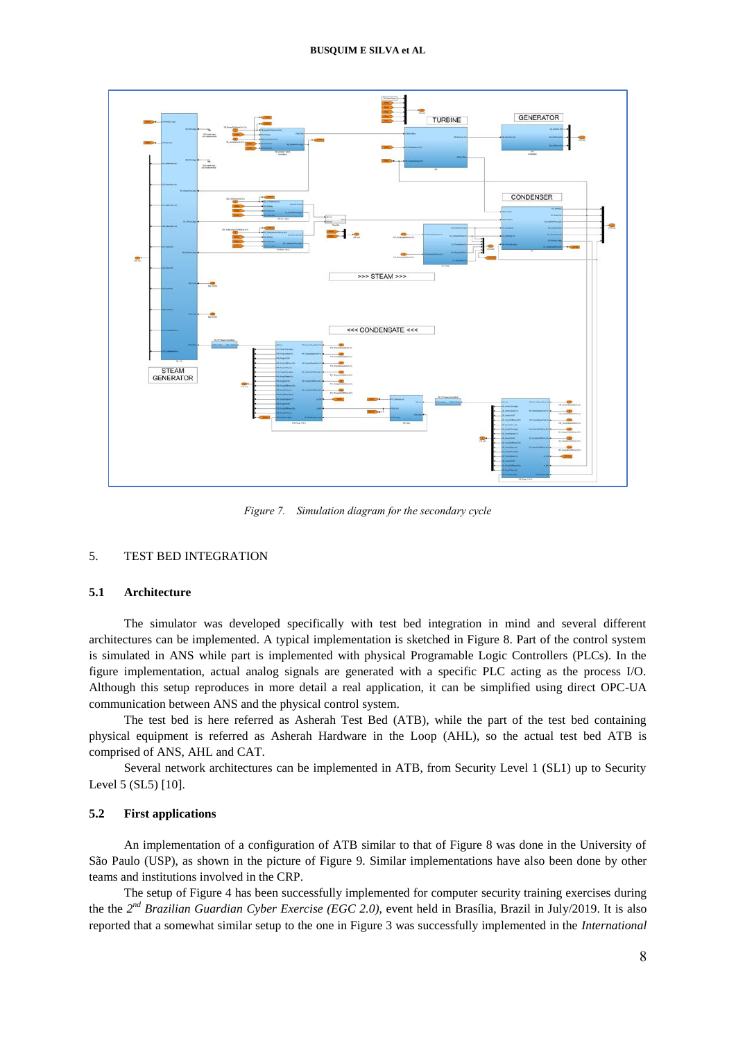

*Figure 7. Simulation diagram for the secondary cycle*

# 5. TEST BED INTEGRATION

#### **5.1 Architecture**

The simulator was developed specifically with test bed integration in mind and several different architectures can be implemented. A typical implementation is sketched in Figure 8. Part of the control system is simulated in ANS while part is implemented with physical Programable Logic Controllers (PLCs). In the figure implementation, actual analog signals are generated with a specific PLC acting as the process I/O. Although this setup reproduces in more detail a real application, it can be simplified using direct OPC-UA communication between ANS and the physical control system.

The test bed is here referred as Asherah Test Bed (ATB), while the part of the test bed containing physical equipment is referred as Asherah Hardware in the Loop (AHL), so the actual test bed ATB is comprised of ANS, AHL and CAT.

Several network architectures can be implemented in ATB, from Security Level 1 (SL1) up to Security Level 5 (SL5) [10].

#### **5.2 First applications**

An implementation of a configuration of ATB similar to that of Figure 8 was done in the University of São Paulo (USP), as shown in the picture of Figure 9. Similar implementations have also been done by other teams and institutions involved in the CRP.

The setup of Figure 4 has been successfully implemented for computer security training exercises during the the *2 nd Brazilian Guardian Cyber Exercise (EGC 2.0)*, event held in Brasília, Brazil in July/2019. It is also reported that a somewhat similar setup to the one in Figure 3 was successfully implemented in the *International*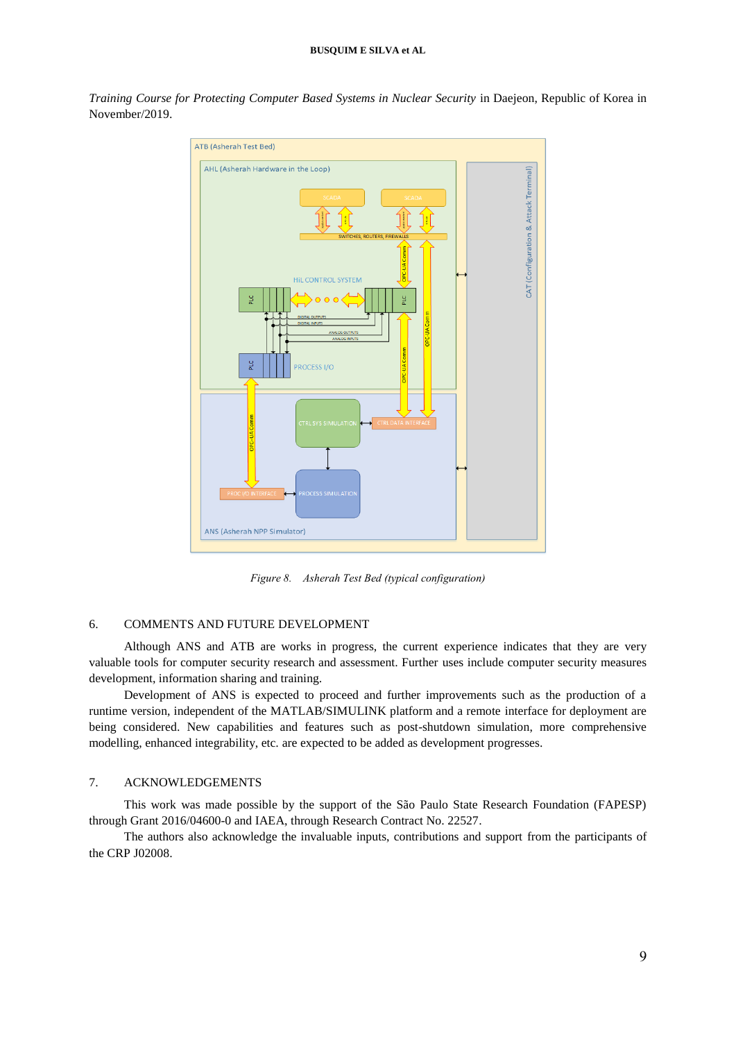*Training Course for Protecting Computer Based Systems in Nuclear Security* in Daejeon, Republic of Korea in November/2019.



*Figure 8. Asherah Test Bed (typical configuration)*

#### 6. COMMENTS AND FUTURE DEVELOPMENT

Although ANS and ATB are works in progress, the current experience indicates that they are very valuable tools for computer security research and assessment. Further uses include computer security measures development, information sharing and training.

Development of ANS is expected to proceed and further improvements such as the production of a runtime version, independent of the MATLAB/SIMULINK platform and a remote interface for deployment are being considered. New capabilities and features such as post-shutdown simulation, more comprehensive modelling, enhanced integrability, etc. are expected to be added as development progresses.

# 7. ACKNOWLEDGEMENTS

This work was made possible by the support of the São Paulo State Research Foundation (FAPESP) through Grant 2016/04600-0 and IAEA, through Research Contract No. 22527.

The authors also acknowledge the invaluable inputs, contributions and support from the participants of the CRP J02008.